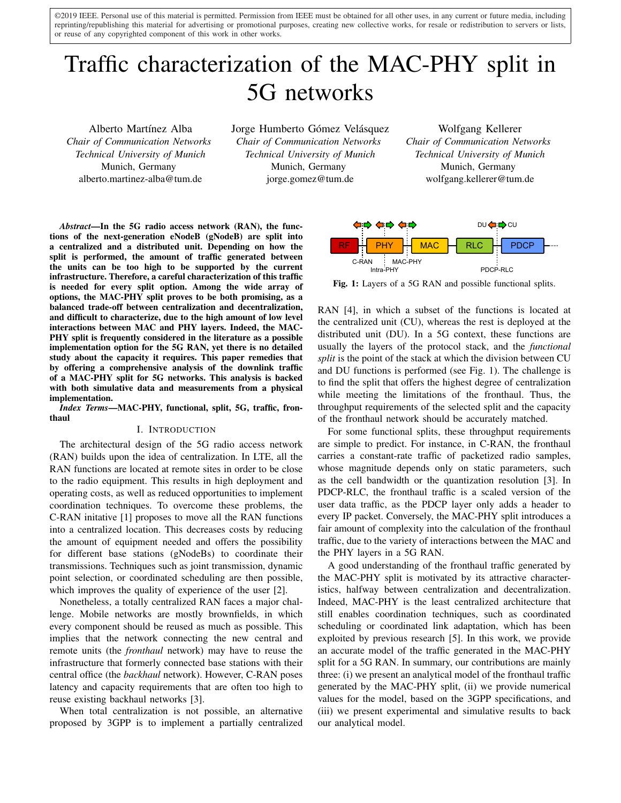©2019 IEEE. Personal use of this material is permitted. Permission from IEEE must be obtained for all other uses, in any current or future media, including reprinting/republishing this material for advertising or promotional purposes, creating new collective works, for resale or redistribution to servers or lists, or reuse of any copyrighted component of this work in other works.

# Traffic characterization of the MAC-PHY split in 5G networks

Alberto Martínez Alba *Chair of Communication Networks Technical University of Munich* Munich, Germany alberto.martinez-alba@tum.de

Jorge Humberto Gómez Velásquez *Chair of Communication Networks Technical University of Munich* Munich, Germany jorge.gomez@tum.de

Wolfgang Kellerer *Chair of Communication Networks Technical University of Munich* Munich, Germany wolfgang.kellerer@tum.de

*Abstract*—In the 5G radio access network (RAN), the functions of the next-generation eNodeB (gNodeB) are split into a centralized and a distributed unit. Depending on how the split is performed, the amount of traffic generated between the units can be too high to be supported by the current infrastructure. Therefore, a careful characterization of this traffic is needed for every split option. Among the wide array of options, the MAC-PHY split proves to be both promising, as a balanced trade-off between centralization and decentralization, and difficult to characterize, due to the high amount of low level interactions between MAC and PHY layers. Indeed, the MAC-PHY split is frequently considered in the literature as a possible implementation option for the 5G RAN, yet there is no detailed study about the capacity it requires. This paper remedies that by offering a comprehensive analysis of the downlink traffic of a MAC-PHY split for 5G networks. This analysis is backed with both simulative data and measurements from a physical implementation.

*Index Terms*—MAC-PHY, functional, split, 5G, traffic, fronthaul

## I. INTRODUCTION

The architectural design of the 5G radio access network (RAN) builds upon the idea of centralization. In LTE, all the RAN functions are located at remote sites in order to be close to the radio equipment. This results in high deployment and operating costs, as well as reduced opportunities to implement coordination techniques. To overcome these problems, the C-RAN initative [1] proposes to move all the RAN functions into a centralized location. This decreases costs by reducing the amount of equipment needed and offers the possibility for different base stations (gNodeBs) to coordinate their transmissions. Techniques such as joint transmission, dynamic point selection, or coordinated scheduling are then possible, which improves the quality of experience of the user [2].

Nonetheless, a totally centralized RAN faces a major challenge. Mobile networks are mostly brownfields, in which every component should be reused as much as possible. This implies that the network connecting the new central and remote units (the *fronthaul* network) may have to reuse the infrastructure that formerly connected base stations with their central office (the *backhaul* network). However, C-RAN poses latency and capacity requirements that are often too high to reuse existing backhaul networks [3].

When total centralization is not possible, an alternative proposed by 3GPP is to implement a partially centralized



Fig. 1: Layers of a 5G RAN and possible functional splits.

RAN [4], in which a subset of the functions is located at the centralized unit (CU), whereas the rest is deployed at the distributed unit (DU). In a 5G context, these functions are usually the layers of the protocol stack, and the *functional split* is the point of the stack at which the division between CU and DU functions is performed (see Fig. 1). The challenge is to find the split that offers the highest degree of centralization while meeting the limitations of the fronthaul. Thus, the throughput requirements of the selected split and the capacity of the fronthaul network should be accurately matched.

For some functional splits, these throughput requirements are simple to predict. For instance, in C-RAN, the fronthaul carries a constant-rate traffic of packetized radio samples, whose magnitude depends only on static parameters, such as the cell bandwidth or the quantization resolution [3]. In PDCP-RLC, the fronthaul traffic is a scaled version of the user data traffic, as the PDCP layer only adds a header to every IP packet. Conversely, the MAC-PHY split introduces a fair amount of complexity into the calculation of the fronthaul traffic, due to the variety of interactions between the MAC and the PHY layers in a 5G RAN.

A good understanding of the fronthaul traffic generated by the MAC-PHY split is motivated by its attractive characteristics, halfway between centralization and decentralization. Indeed, MAC-PHY is the least centralized architecture that still enables coordination techniques, such as coordinated scheduling or coordinated link adaptation, which has been exploited by previous research [5]. In this work, we provide an accurate model of the traffic generated in the MAC-PHY split for a 5G RAN. In summary, our contributions are mainly three: (i) we present an analytical model of the fronthaul traffic generated by the MAC-PHY split, (ii) we provide numerical values for the model, based on the 3GPP specifications, and (iii) we present experimental and simulative results to back our analytical model.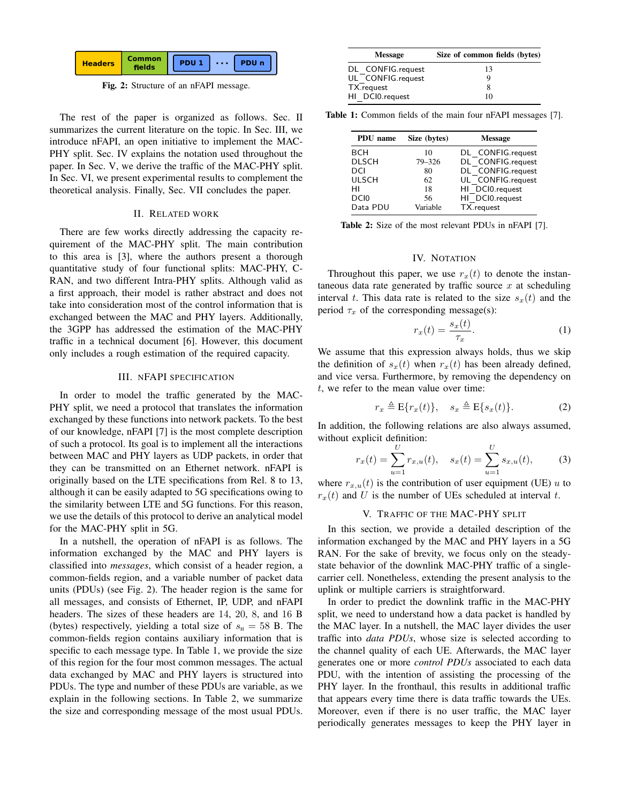

Fig. 2: Structure of an nFAPI message.

The rest of the paper is organized as follows. Sec. II summarizes the current literature on the topic. In Sec. III, we introduce nFAPI, an open initiative to implement the MAC-PHY split. Sec. IV explains the notation used throughout the paper. In Sec. V, we derive the traffic of the MAC-PHY split. In Sec. VI, we present experimental results to complement the theoretical analysis. Finally, Sec. VII concludes the paper.

## II. RELATED WORK

There are few works directly addressing the capacity requirement of the MAC-PHY split. The main contribution to this area is [3], where the authors present a thorough quantitative study of four functional splits: MAC-PHY, C-RAN, and two different Intra-PHY splits. Although valid as a first approach, their model is rather abstract and does not take into consideration most of the control information that is exchanged between the MAC and PHY layers. Additionally, the 3GPP has addressed the estimation of the MAC-PHY traffic in a technical document [6]. However, this document only includes a rough estimation of the required capacity.

### III. NFAPI SPECIFICATION

In order to model the traffic generated by the MAC-PHY split, we need a protocol that translates the information exchanged by these functions into network packets. To the best of our knowledge, nFAPI [7] is the most complete description of such a protocol. Its goal is to implement all the interactions between MAC and PHY layers as UDP packets, in order that they can be transmitted on an Ethernet network. nFAPI is originally based on the LTE specifications from Rel. 8 to 13, although it can be easily adapted to 5G specifications owing to the similarity between LTE and 5G functions. For this reason, we use the details of this protocol to derive an analytical model for the MAC-PHY split in 5G.

In a nutshell, the operation of nFAPI is as follows. The information exchanged by the MAC and PHY layers is classified into *messages*, which consist of a header region, a common-fields region, and a variable number of packet data units (PDUs) (see Fig. 2). The header region is the same for all messages, and consists of Ethernet, IP, UDP, and nFAPI headers. The sizes of these headers are 14, 20, 8, and 16 B (bytes) respectively, yielding a total size of  $s_{\text{H}} = 58$  B. The common-fields region contains auxiliary information that is specific to each message type. In Table 1, we provide the size of this region for the four most common messages. The actual data exchanged by MAC and PHY layers is structured into PDUs. The type and number of these PDUs are variable, as we explain in the following sections. In Table 2, we summarize the size and corresponding message of the most usual PDUs.

| <b>Message</b>    | Size of common fields (bytes) |
|-------------------|-------------------------------|
| DL CONFIG.request | 13                            |
| UL CONFIG.request | Q                             |
| TX.request        | 8                             |
| HI DCI0.request   | 10                            |

Table 1: Common fields of the main four nFAPI messages [7].

| Size (bytes) | <b>Message</b>    |
|--------------|-------------------|
| 10           | DL CONFIG.request |
| 79-326       | DL CONFIG.request |
| 80           | DL CONFIG.request |
| 62           | UL CONFIG.request |
| 18           | HI DCI0.request   |
| 56           | HI DCI0.request   |
| Variable     | TX.request        |
|              |                   |

Table 2: Size of the most relevant PDUs in nFAPI [7].

# IV. NOTATION

Throughout this paper, we use  $r<sub>x</sub>(t)$  to denote the instantaneous data rate generated by traffic source  $x$  at scheduling interval t. This data rate is related to the size  $s_x(t)$  and the period  $\tau_x$  of the corresponding message(s):

$$
r_x(t) = \frac{s_x(t)}{\tau_x}.\tag{1}
$$

We assume that this expression always holds, thus we skip the definition of  $s_x(t)$  when  $r_x(t)$  has been already defined, and vice versa. Furthermore, by removing the dependency on t, we refer to the mean value over time:

$$
r_x \triangleq \mathcal{E}\{r_x(t)\}, \quad s_x \triangleq \mathcal{E}\{s_x(t)\}.
$$
 (2)

In addition, the following relations are also always assumed, without explicit definition:

$$
r_x(t) = \sum_{u=1}^{U} r_{x,u}(t), \quad s_x(t) = \sum_{u=1}^{U} s_{x,u}(t), \quad (3)
$$

where  $r_{x,u}(t)$  is the contribution of user equipment (UE) u to  $r_x(t)$  and U is the number of UEs scheduled at interval t.

# V. TRAFFIC OF THE MAC-PHY SPLIT

In this section, we provide a detailed description of the information exchanged by the MAC and PHY layers in a 5G RAN. For the sake of brevity, we focus only on the steadystate behavior of the downlink MAC-PHY traffic of a singlecarrier cell. Nonetheless, extending the present analysis to the uplink or multiple carriers is straightforward.

In order to predict the downlink traffic in the MAC-PHY split, we need to understand how a data packet is handled by the MAC layer. In a nutshell, the MAC layer divides the user traffic into *data PDUs*, whose size is selected according to the channel quality of each UE. Afterwards, the MAC layer generates one or more *control PDUs* associated to each data PDU, with the intention of assisting the processing of the PHY layer. In the fronthaul, this results in additional traffic that appears every time there is data traffic towards the UEs. Moreover, even if there is no user traffic, the MAC layer periodically generates messages to keep the PHY layer in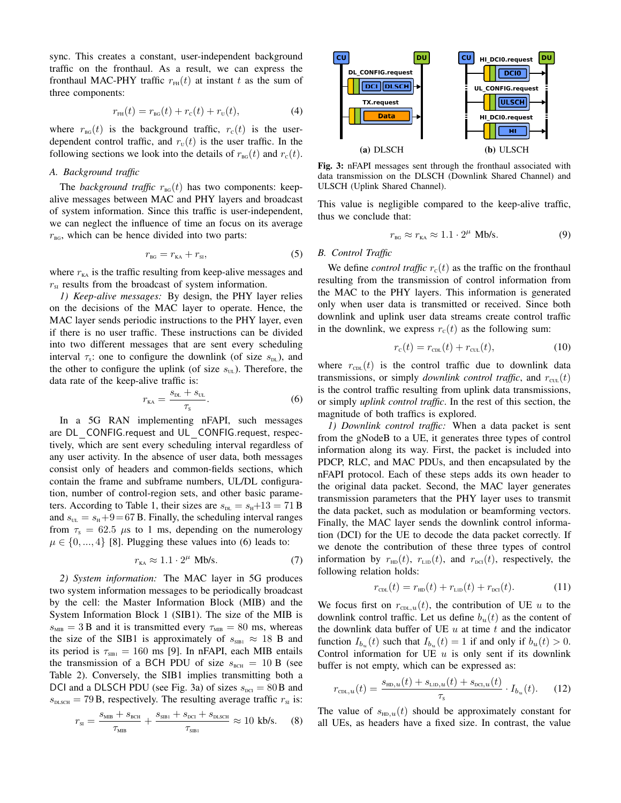sync. This creates a constant, user-independent background traffic on the fronthaul. As a result, we can express the fronthaul MAC-PHY traffic  $r<sub>FH</sub>(t)$  at instant t as the sum of three components:

$$
r_{\text{FH}}(t) = r_{\text{BG}}(t) + r_{\text{c}}(t) + r_{\text{U}}(t),
$$
\n(4)

where  $r_{\text{BG}}(t)$  is the background traffic,  $r_c(t)$  is the userdependent control traffic, and  $r<sub>U</sub>(t)$  is the user traffic. In the following sections we look into the details of  $r_{\text{BG}}(t)$  and  $r_{\text{C}}(t)$ .

## *A. Background traffic*

The *background traffic*  $r_{\text{BG}}(t)$  has two components: keepalive messages between MAC and PHY layers and broadcast of system information. Since this traffic is user-independent, we can neglect the influence of time an focus on its average  $r_{\text{BG}}$ , which can be hence divided into two parts:

$$
r_{\text{BG}} = r_{\text{KA}} + r_{\text{SI}},\tag{5}
$$

where  $r_{\text{KA}}$  is the traffic resulting from keep-alive messages and  $r_{\rm SI}$  results from the broadcast of system information.

*1) Keep-alive messages:* By design, the PHY layer relies on the decisions of the MAC layer to operate. Hence, the MAC layer sends periodic instructions to the PHY layer, even if there is no user traffic. These instructions can be divided into two different messages that are sent every scheduling interval  $\tau_s$ : one to configure the downlink (of size  $s_{\text{DL}}$ ), and the other to configure the uplink (of size  $s_{\text{UL}}$ ). Therefore, the data rate of the keep-alive traffic is:

$$
r_{\rm{ka}} = \frac{s_{\rm{DL}} + s_{\rm{UL}}}{\tau_{\rm{s}}}.
$$
 (6)

In a 5G RAN implementing nFAPI, such messages are DL CONFIG.request and UL CONFIG.request, respectively, which are sent every scheduling interval regardless of any user activity. In the absence of user data, both messages consist only of headers and common-fields sections, which contain the frame and subframe numbers, UL/DL configuration, number of control-region sets, and other basic parameters. According to Table 1, their sizes are  $s_{DL} = s_H + 13 = 71 B$ and  $s_{\text{UL}} = s_{\text{H}} + 9 = 67$  B. Finally, the scheduling interval ranges from  $\tau_s = 62.5 \mu s$  to 1 ms, depending on the numerology  $\mu \in \{0, ..., 4\}$  [8]. Plugging these values into (6) leads to:

$$
r_{\text{KA}} \approx 1.1 \cdot 2^{\mu} \text{ Mb/s.}
$$
 (7)

*2) System information:* The MAC layer in 5G produces two system information messages to be periodically broadcast by the cell: the Master Information Block (MIB) and the System Information Block 1 (SIB1). The size of the MIB is  $s_{MB} = 3B$  and it is transmitted every  $\tau_{MB} = 80$  ms, whereas the size of the SIB1 is approximately of  $s_{\text{\tiny SIB1}} \approx 18$  B and its period is  $\tau_{\text{SIB1}} = 160$  ms [9]. In nFAPI, each MIB entails the transmission of a BCH PDU of size  $s_{BCH} = 10 B$  (see Table 2). Conversely, the SIB1 implies transmitting both a DCI and a DLSCH PDU (see Fig. 3a) of sizes  $s_{\text{pct}} = 80B$  and  $s_{\text{pLsCH}} = 79B$ , respectively. The resulting average traffic  $r_{\text{SI}}$  is:

$$
r_{\scriptscriptstyle SI} = \frac{s_{\scriptscriptstyle MIB} + s_{\scriptscriptstyle BCH}}{\tau_{\scriptscriptstyle MIB}} + \frac{s_{\scriptscriptstyle SIBI} + s_{\scriptscriptstyle DCI} + s_{\scriptscriptstyle DLSCH}}{\tau_{\scriptscriptstyle SIBI}} \approx 10 \text{ kb/s.} \tag{8}
$$



Fig. 3: nFAPI messages sent through the fronthaul associated with data transmission on the DLSCH (Downlink Shared Channel) and ULSCH (Uplink Shared Channel).

This value is negligible compared to the keep-alive traffic, thus we conclude that:

$$
r_{\text{BG}} \approx r_{\text{KA}} \approx 1.1 \cdot 2^{\mu} \text{ Mb/s.}
$$
 (9)

## *B. Control Traffic*

We define *control traffic*  $r_c(t)$  as the traffic on the fronthaul resulting from the transmission of control information from the MAC to the PHY layers. This information is generated only when user data is transmitted or received. Since both downlink and uplink user data streams create control traffic in the downlink, we express  $r_c(t)$  as the following sum:

$$
r_{\rm c}(t) = r_{\rm cDL}(t) + r_{\rm cUL}(t),\tag{10}
$$

where  $r_{\text{CDL}}(t)$  is the control traffic due to downlink data transmissions, or simply *downlink control traffic*, and  $r_{\text{cut}}(t)$ is the control traffic resulting from uplink data transmissions, or simply *uplink control traffic*. In the rest of this section, the magnitude of both traffics is explored.

*1) Downlink control traffic:* When a data packet is sent from the gNodeB to a UE, it generates three types of control information along its way. First, the packet is included into PDCP, RLC, and MAC PDUs, and then encapsulated by the nFAPI protocol. Each of these steps adds its own header to the original data packet. Second, the MAC layer generates transmission parameters that the PHY layer uses to transmit the data packet, such as modulation or beamforming vectors. Finally, the MAC layer sends the downlink control information (DCI) for the UE to decode the data packet correctly. If we denote the contribution of these three types of control information by  $r_{HD}(t)$ ,  $r_{LD}(t)$ , and  $r_{DCI}(t)$ , respectively, the following relation holds:

$$
r_{\text{CDL}}(t) = r_{\text{HD}}(t) + r_{\text{LD}}(t) + r_{\text{DCL}}(t). \tag{11}
$$

We focus first on  $r_{\text{CDL},u}(t)$ , the contribution of UE u to the downlink control traffic. Let us define  $b_u(t)$  as the content of the downlink data buffer of UE  $u$  at time  $t$  and the indicator function  $I_{b_u}(t)$  such that  $I_{b_u}(t) = 1$  if and only if  $b_u(t) > 0$ . Control information for UE  $u$  is only sent if its downlink buffer is not empty, which can be expressed as:

$$
r_{\text{CDL},u}(t) = \frac{s_{\text{HD},u}(t) + s_{\text{LD},u}(t) + s_{\text{DCL},u}(t)}{\tau_{\text{s}}} \cdot I_{b_u}(t). \tag{12}
$$

The value of  $s_{HD,u}(t)$  should be approximately constant for all UEs, as headers have a fixed size. In contrast, the value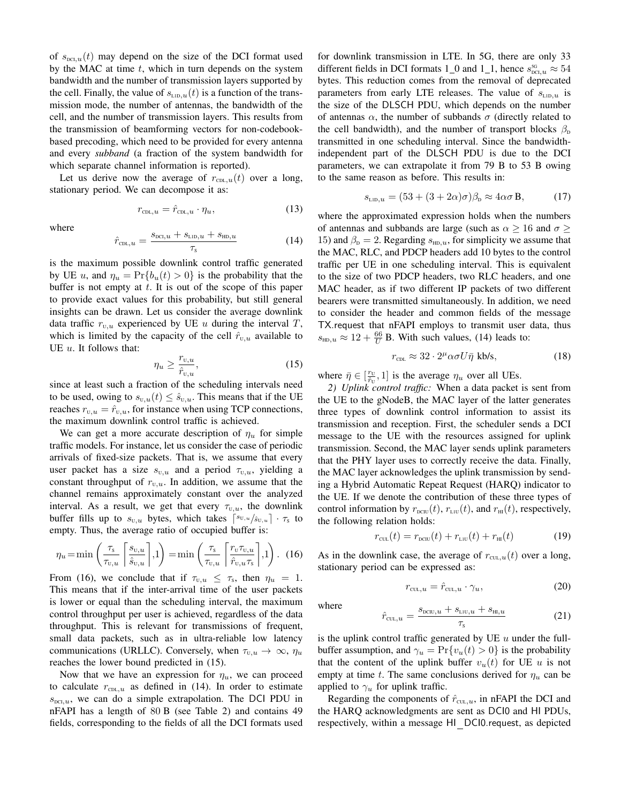of  $s_{\text{duc},u}(t)$  may depend on the size of the DCI format used by the MAC at time  $t$ , which in turn depends on the system bandwidth and the number of transmission layers supported by the cell. Finally, the value of  $s_{\text{\tiny{LID,u}}}(t)$  is a function of the transmission mode, the number of antennas, the bandwidth of the cell, and the number of transmission layers. This results from the transmission of beamforming vectors for non-codebookbased precoding, which need to be provided for every antenna and every *subband* (a fraction of the system bandwidth for which separate channel information is reported).

Let us derive now the average of  $r_{\text{CDL},u}(t)$  over a long, stationary period. We can decompose it as:

$$
r_{\text{CDL},u} = \hat{r}_{\text{CDL},u} \cdot \eta_u,\tag{13}
$$

where

$$
\hat{r}_{\text{CDL},u} = \frac{s_{\text{DCI},u} + s_{\text{LID},u} + s_{\text{HD},u}}{\tau_{\text{s}}}
$$
(14)

is the maximum possible downlink control traffic generated by UE u, and  $\eta_u = \Pr\{b_u(t) > 0\}$  is the probability that the buffer is not empty at  $t$ . It is out of the scope of this paper to provide exact values for this probability, but still general insights can be drawn. Let us consider the average downlink data traffic  $r_{\text{U},u}$  experienced by UE u during the interval T, which is limited by the capacity of the cell  $\hat{r}_{U,u}$  available to UE  $u$ . It follows that:

$$
\eta_u \ge \frac{r_{\mathbf{U},u}}{\hat{r}_{\mathbf{U},u}},\tag{15}
$$

since at least such a fraction of the scheduling intervals need to be used, owing to  $s_{\text{U},u}(t) \leq \hat{s}_{\text{U},u}$ . This means that if the UE reaches  $r_{U,u} = \hat{r}_{U,u}$ , for instance when using TCP connections, the maximum downlink control traffic is achieved.

We can get a more accurate description of  $\eta_u$  for simple traffic models. For instance, let us consider the case of periodic arrivals of fixed-size packets. That is, we assume that every user packet has a size  $s_{U,u}$  and a period  $\tau_{U,u}$ , yielding a constant throughput of  $r_{U,u}$ . In addition, we assume that the channel remains approximately constant over the analyzed interval. As a result, we get that every  $\tau_{U,u}$ , the downlink buffer fills up to  $s_{u,u}$  bytes, which takes  $\lceil s_{u,u}/s_{u,u} \rceil \cdot \tau_s$  to empty. Thus, the average ratio of occupied buffer is:

$$
\eta_u = \min\left(\frac{\tau_s}{\tau_{v,u}} \left[\frac{s_{v,u}}{\hat{s}_{v,u}}\right], 1\right) = \min\left(\frac{\tau_s}{\tau_{v,u}} \left[\frac{r_v \tau_{v,u}}{\hat{r}_{v,u} \tau_s}\right], 1\right). (16)
$$

From (16), we conclude that if  $\tau_{u,u} \leq \tau_s$ , then  $\eta_u = 1$ . This means that if the inter-arrival time of the user packets is lower or equal than the scheduling interval, the maximum control throughput per user is achieved, regardless of the data throughput. This is relevant for transmissions of frequent, small data packets, such as in ultra-reliable low latency communications (URLLC). Conversely, when  $\tau_{u,u} \to \infty$ ,  $\eta_u$ reaches the lower bound predicted in (15).

Now that we have an expression for  $\eta_u$ , we can proceed to calculate  $r_{\text{CDL},u}$  as defined in (14). In order to estimate  $s_{\text{DCL},u}$ , we can do a simple extrapolation. The DCI PDU in nFAPI has a length of 80 B (see Table 2) and contains 49 fields, corresponding to the fields of all the DCI formats used for downlink transmission in LTE. In 5G, there are only 33 different fields in DCI formats 1\_0 and 1\_1, hence  $s_{\text{pc};u}^{\text{5G}} \approx 54$ bytes. This reduction comes from the removal of deprecated parameters from early LTE releases. The value of  $s_{\text{LID},u}$  is the size of the DLSCH PDU, which depends on the number of antennas  $\alpha$ , the number of subbands  $\sigma$  (directly related to the cell bandwidth), and the number of transport blocks  $\beta_{\rm D}$ transmitted in one scheduling interval. Since the bandwidthindependent part of the DLSCH PDU is due to the DCI parameters, we can extrapolate it from 79 B to 53 B owing to the same reason as before. This results in:

$$
s_{\text{LID},u} = (53 + (3 + 2\alpha)\sigma)\beta_{\text{D}} \approx 4\alpha\sigma \,\mathbf{B},\tag{17}
$$

where the approximated expression holds when the numbers of antennas and subbands are large (such as  $\alpha \ge 16$  and  $\sigma \ge$ 15) and  $\beta_{\rm D} = 2$ . Regarding  $s_{\rm HD, u}$ , for simplicity we assume that the MAC, RLC, and PDCP headers add 10 bytes to the control traffic per UE in one scheduling interval. This is equivalent to the size of two PDCP headers, two RLC headers, and one MAC header, as if two different IP packets of two different bearers were transmitted simultaneously. In addition, we need to consider the header and common fields of the message TX.request that nFAPI employs to transmit user data, thus  $s_{\text{HD},u} \approx 12 + \frac{66}{U}$  B. With such values, (14) leads to:

$$
r_{\text{CDL}} \approx 32 \cdot 2^{\mu} \alpha \sigma U \bar{\eta} \text{ kb/s},\tag{18}
$$

where  $\bar{\eta} \in [\frac{r_U}{\hat{r}_U}, 1]$  is the average  $\eta_u$  over all UEs.

*2) Uplink control traffic:* When a data packet is sent from the UE to the gNodeB, the MAC layer of the latter generates three types of downlink control information to assist its transmission and reception. First, the scheduler sends a DCI message to the UE with the resources assigned for uplink transmission. Second, the MAC layer sends uplink parameters that the PHY layer uses to correctly receive the data. Finally, the MAC layer acknowledges the uplink transmission by sending a Hybrid Automatic Repeat Request (HARQ) indicator to the UE. If we denote the contribution of these three types of control information by  $r_{\text{DCIU}}(t)$ ,  $r_{\text{LIU}}(t)$ , and  $r_{\text{HI}}(t)$ , respectively, the following relation holds:

$$
r_{\text{cut}}(t) = r_{\text{new}}(t) + r_{\text{cut}}(t) + r_{\text{H}}(t) \tag{19}
$$

As in the downlink case, the average of  $r_{\text{cut},u}(t)$  over a long, stationary period can be expressed as:

$$
r_{\text{cut},u} = \hat{r}_{\text{cut},u} \cdot \gamma_u,\tag{20}
$$

where

$$
\hat{r}_{\text{CUL},u} = \frac{s_{\text{DCIU},u} + s_{\text{LUU},u} + s_{\text{HI},u}}{\tau_s} \tag{21}
$$

is the uplink control traffic generated by UE  $u$  under the fullbuffer assumption, and  $\gamma_u = \Pr\{v_u(t) > 0\}$  is the probability that the content of the uplink buffer  $v_u(t)$  for UE u is not empty at time t. The same conclusions derived for  $\eta_u$  can be applied to  $\gamma_u$  for uplink traffic.

Regarding the components of  $\hat{r}_{\text{CLL},u}$ , in nFAPI the DCI and the HARQ acknowledgments are sent as DCI0 and HI PDUs, respectively, within a message HI DCI0.request, as depicted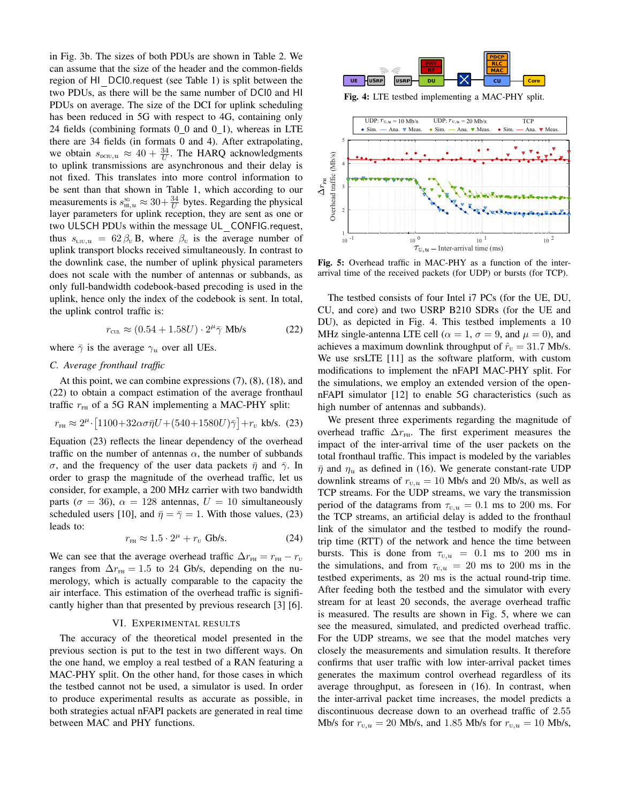in Fig. 3b. The sizes of both PDUs are shown in Table 2. We can assume that the size of the header and the common-fields region of HI DCI0.request (see Table 1) is split between the two PDUs, as there will be the same number of DCI0 and HI PDUs on average. The size of the DCI for uplink scheduling has been reduced in 5G with respect to 4G, containing only 24 fields (combining formats  $0_0$  and  $0_1$ ), whereas in LTE there are 34 fields (in formats 0 and 4). After extrapolating, we obtain  $s_{\text{bcu},u} \approx 40 + \frac{34}{U}$ . The HARQ acknowledgments to uplink transmissions are asynchronous and their delay is not fixed. This translates into more control information to be sent than that shown in Table 1, which according to our measurements is  $s_{\text{H1},u}^{\text{3G}} \approx 30 + \frac{34}{U}$  bytes. Regarding the physical layer parameters for uplink reception, they are sent as one or two ULSCH PDUs within the message UL CONFIG.request, thus  $s_{\text{L1U},u} = 62 \beta_{\text{U}} B$ , where  $\beta_{\text{U}}$  is the average number of uplink transport blocks received simultaneously. In contrast to the downlink case, the number of uplink physical parameters does not scale with the number of antennas or subbands, as only full-bandwidth codebook-based precoding is used in the uplink, hence only the index of the codebook is sent. In total, the uplink control traffic is:

$$
r_{\text{cut}} \approx (0.54 + 1.58U) \cdot 2^{\mu} \bar{\gamma} \text{ Mb/s}
$$
 (22)

where  $\bar{\gamma}$  is the average  $\gamma_u$  over all UEs.

### *C. Average fronthaul traffic*

At this point, we can combine expressions (7), (8), (18), and (22) to obtain a compact estimation of the average fronthaul traffic  $r<sub>FH</sub>$  of a 5G RAN implementing a MAC-PHY split:

$$
r_{\rm FH} \approx 2^{\mu} \cdot [1100 + 32\alpha\sigma \bar{\eta} U + (540 + 1580U)\bar{\gamma}] + r_{\rm U} \text{ kb/s. (23)}
$$

Equation (23) reflects the linear dependency of the overhead traffic on the number of antennas  $\alpha$ , the number of subbands σ, and the frequency of the user data packets  $\bar{\eta}$  and  $\bar{\gamma}$ . In order to grasp the magnitude of the overhead traffic, let us consider, for example, a 200 MHz carrier with two bandwidth parts ( $\sigma = 36$ ),  $\alpha = 128$  antennas,  $U = 10$  simultaneously scheduled users [10], and  $\bar{\eta} = \bar{\gamma} = 1$ . With those values, (23) leads to:

$$
r_{\text{FH}} \approx 1.5 \cdot 2^{\mu} + r_{\text{U}} \text{Gb/s.}
$$
 (24)

We can see that the average overhead traffic  $\Delta r_{\text{FH}} = r_{\text{FH}} - r_{\text{U}}$ ranges from  $\Delta r_{\text{FH}} = 1.5$  to 24 Gb/s, depending on the numerology, which is actually comparable to the capacity the air interface. This estimation of the overhead traffic is significantly higher than that presented by previous research [3] [6].

# VI. EXPERIMENTAL RESULTS

The accuracy of the theoretical model presented in the previous section is put to the test in two different ways. On the one hand, we employ a real testbed of a RAN featuring a MAC-PHY split. On the other hand, for those cases in which the testbed cannot not be used, a simulator is used. In order to produce experimental results as accurate as possible, in both strategies actual nFAPI packets are generated in real time between MAC and PHY functions.



Fig. 4: LTE testbed implementing a MAC-PHY split.



Fig. 5: Overhead traffic in MAC-PHY as a function of the interarrival time of the received packets (for UDP) or bursts (for TCP).

The testbed consists of four Intel i7 PCs (for the UE, DU, CU, and core) and two USRP B210 SDRs (for the UE and DU), as depicted in Fig. 4. This testbed implements a 10 MHz single-antenna LTE cell ( $\alpha = 1$ ,  $\sigma = 9$ , and  $\mu = 0$ ), and achieves a maximum downlink throughput of  $\hat{r}_{\text{U}} = 31.7$  Mb/s. We use srsLTE [11] as the software platform, with custom modifications to implement the nFAPI MAC-PHY split. For the simulations, we employ an extended version of the opennFAPI simulator [12] to enable 5G characteristics (such as high number of antennas and subbands).

We present three experiments regarding the magnitude of overhead traffic  $\Delta r_{\text{FH}}$ . The first experiment measures the impact of the inter-arrival time of the user packets on the total fronthaul traffic. This impact is modeled by the variables  $\bar{\eta}$  and  $\eta_u$  as defined in (16). We generate constant-rate UDP downlink streams of  $r_{\text{U},u} = 10$  Mb/s and 20 Mb/s, as well as TCP streams. For the UDP streams, we vary the transmission period of the datagrams from  $\tau_{U,u} = 0.1$  ms to 200 ms. For the TCP streams, an artificial delay is added to the fronthaul link of the simulator and the testbed to modify the roundtrip time (RTT) of the network and hence the time between bursts. This is done from  $\tau_{U,u} = 0.1$  ms to 200 ms in the simulations, and from  $\tau_{U,u} = 20$  ms to 200 ms in the testbed experiments, as 20 ms is the actual round-trip time. After feeding both the testbed and the simulator with every stream for at least 20 seconds, the average overhead traffic is measured. The results are shown in Fig. 5, where we can see the measured, simulated, and predicted overhead traffic. For the UDP streams, we see that the model matches very closely the measurements and simulation results. It therefore confirms that user traffic with low inter-arrival packet times generates the maximum control overhead regardless of its average throughput, as foreseen in (16). In contrast, when the inter-arrival packet time increases, the model predicts a discontinuous decrease down to an overhead traffic of 2.55 Mb/s for  $r_{U,u} = 20$  Mb/s, and 1.85 Mb/s for  $r_{U,u} = 10$  Mb/s,